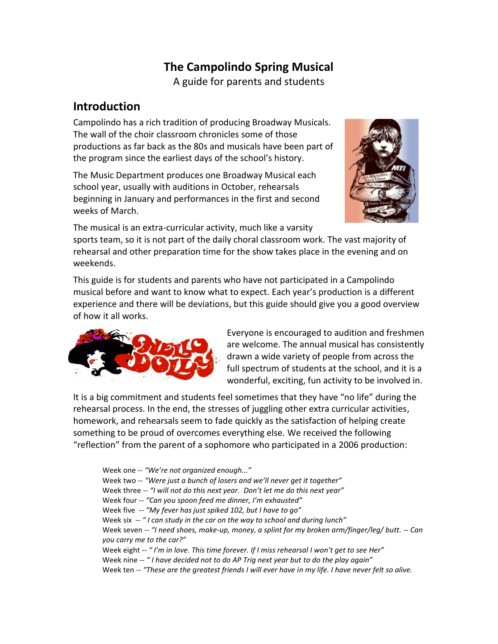# **The Campolindo Spring Musical**

A guide for parents and students

#### **Introduction**

Campolindo has a rich tradition of producing Broadway Musicals. The wall of the choir classroom chronicles some of those productions as far back as the 80s and musicals have been part of the program since the earliest days of the school's history.

The Music Department produces one Broadway Musical each school year, usually with auditions in October, rehearsals beginning in January and performances in the first and second weeks of March.



The musical is an extra-curricular activity, much like a varsity

sports team, so it is not part of the daily choral classroom work. The vast majority of rehearsal and other preparation time for the show takes place in the evening and on weekends.

This guide is for students and parents who have not participated in a Campolindo musical before and want to know what to expect. Each year's production is a different experience and there will be deviations, but this guide should give you a good overview of how it all works.



Everyone is encouraged to audition and freshmen are welcome. The annual musical has consistently drawn a wide variety of people from across the full spectrum of students at the school, and it is a wonderful, exciting, fun activity to be involved in.

It is a big commitment and students feel sometimes that they have "no life" during the rehearsal process. In the end, the stresses of juggling other extra curricular activities, homework, and rehearsals seem to fade quickly as the satisfaction of helping create something to be proud of overcomes everything else. We received the following ͞reflection͟ from the parent of a sophomore who participated in a 2006 production:

Week one -- "We're not organized enough..." Week two -- "Were just a bunch of losers and we'll never get it together" Week three -- "I will not do this next year. Don't let me do this next year" Week four -- "Can you spoon feed me dinner, I'm exhausted" Week five -- "My fever has just spiked 102, but I have to go" Week six  $\degree$  *I can study in the car on the way to school and during lunch*<sup>"</sup> Week seven -*- ͞I need shoes͕ make-up, money, a splint for my broken arm/finger/leg/ butt. -- Can you carry me to the car?*" Week eight -- " I'm in love. This time forever. If I miss rehearsal I won't get to see Her" Week nine -- "*I have decided not to do AP Trig next year but to do the play again*" Week ten -- *͞These are the greatest friends I will ever have in my life. I have never felt so alive.*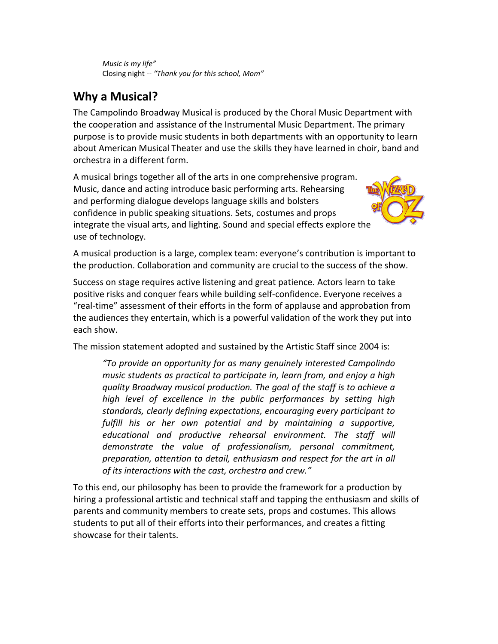*Music is my life͟* Closing night -- "Thank you for this school, Mom"

## **Why a Musical?**

The Campolindo Broadway Musical is produced by the Choral Music Department with the cooperation and assistance of the Instrumental Music Department. The primary purpose is to provide music students in both departments with an opportunity to learn about American Musical Theater and use the skills they have learned in choir, band and orchestra in a different form.

A musical brings together all of the arts in one comprehensive program. Music, dance and acting introduce basic performing arts. Rehearsing and performing dialogue develops language skills and bolsters confidence in public speaking situations. Sets, costumes and props integrate the visual arts, and lighting. Sound and special effects explore the use of technology.



A musical production is a large, complex team: everyone's contribution is important to the production. Collaboration and community are crucial to the success of the show.

Success on stage requires active listening and great patience. Actors learn to take positive risks and conquer fears while building self-confidence. Everyone receives a ͞real-time͟ assessment of their efforts in the form of applause and approbation from the audiences they entertain, which is a powerful validation of the work they put into each show.

The mission statement adopted and sustained by the Artistic Staff since 2004 is:

*͞To provide an opportunity for as many genuinely interested Campolindo music students as practical to participate in, learn from, and enjoy a high quality Broadway musical production. The goal of the staff is to achieve a high level of excellence in the public performances by setting high standards, clearly defining expectations, encouraging every participant to fulfill his or her own potential and by maintaining a supportive, educational and productive rehearsal environment. The staff will demonstrate the value of professionalism, personal commitment, preparation, attention to detail, enthusiasm and respect for the art in all of its interactions with the cast͕ orchestra and crew͘͟*

To this end, our philosophy has been to provide the framework for a production by hiring a professional artistic and technical staff and tapping the enthusiasm and skills of parents and community members to create sets, props and costumes. This allows students to put all of their efforts into their performances, and creates a fitting showcase for their talents.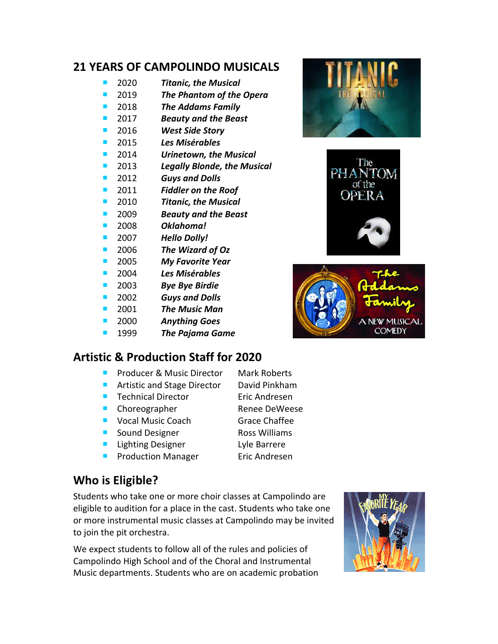#### **21 YEARS OF CAMPOLINDO MUSICALS**

- 2020 *Titanic, the Musical*
- 2019 *The Phantom of the Opera*
- 2018 *The Addams Family*
- 2017 *Beauty and the Beast*
- 2016 *West Side Story*
- 2015 *Les Misérables*
- 2014 *Urinetown, the Musical*
- 2013 *Legally Blonde, the Musical*
- 2012 *Guys and Dolls*
- 2011 *Fiddler on the Roof*
- 2010 *Titanic, the Musical*
- 2009 *Beauty and the Beast*
- 2008 *Oklahoma!*
- 2007 *Hello Dolly!*
- 2006 *The Wizard of Oz*
- 2005 *My Favorite Year*
- 2004 *Les Misérables*
- 2003 *Bye Bye Birdie*
- 2002 *Guys and Dolls*
- 2001 *The Music Man*
- 2000 *Anything Goes*
- 1999 *The Pajama Game*

#### **Artistic & Production Staff for 2020**

- **Producer & Music Director Mark Roberts**
- Artistic and Stage Director David Pinkham
- Technical Director Eric Andresen
- Choreographer Renee DeWeese
- Vocal Music Coach Grace Chaffee
- Sound Designer Ross Williams
- **Lighting Designer** Lyle Barrere
- **Production Manager Eric Andresen**
- **Who is Eligible?**

Students who take one or more choir classes at Campolindo are eligible to audition for a place in the cast. Students who take one or more instrumental music classes at Campolindo may be invited to join the pit orchestra.

We expect students to follow all of the rules and policies of Campolindo High School and of the Choral and Instrumental Music departments. Students who are on academic probation







The **PHANTOM** of the

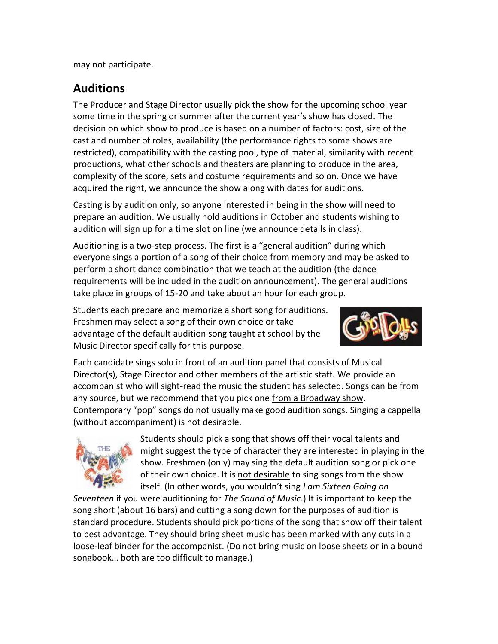may not participate.

### **Auditions**

The Producer and Stage Director usually pick the show for the upcoming school year some time in the spring or summer after the current year's show has closed. The decision on which show to produce is based on a number of factors: cost, size of the cast and number of roles, availability (the performance rights to some shows are restricted), compatibility with the casting pool, type of material, similarity with recent productions, what other schools and theaters are planning to produce in the area, complexity of the score, sets and costume requirements and so on. Once we have acquired the right, we announce the show along with dates for auditions.

Casting is by audition only, so anyone interested in being in the show will need to prepare an audition. We usually hold auditions in October and students wishing to audition will sign up for a time slot on line (we announce details in class).

Auditioning is a two-step process. The first is a "general audition" during which everyone sings a portion of a song of their choice from memory and may be asked to perform a short dance combination that we teach at the audition (the dance requirements will be included in the audition announcement). The general auditions take place in groups of 15-20 and take about an hour for each group.

Students each prepare and memorize a short song for auditions. Freshmen may select a song of their own choice or take advantage of the default audition song taught at school by the Music Director specifically for this purpose.



Each candidate sings solo in front of an audition panel that consists of Musical Director(s), Stage Director and other members of the artistic staff. We provide an accompanist who will sight-read the music the student has selected. Songs can be from any source, but we recommend that you pick one from a Broadway show. Contemporary "pop" songs do not usually make good audition songs. Singing a cappella (without accompaniment) is not desirable.



Students should pick a song that shows off their vocal talents and might suggest the type of character they are interested in playing in the show. Freshmen (only) may sing the default audition song or pick one of their own choice. It is not desirable to sing songs from the show itself. (In other words, you wouldn't sing *I am Sixteen Going on* 

*Seventeen* if you were auditioning for *The Sound of Music*.) It is important to keep the song short (about 16 bars) and cutting a song down for the purposes of audition is standard procedure. Students should pick portions of the song that show off their talent to best advantage. They should bring sheet music has been marked with any cuts in a loose-leaf binder for the accompanist. (Do not bring music on loose sheets or in a bound songbook... both are too difficult to manage.)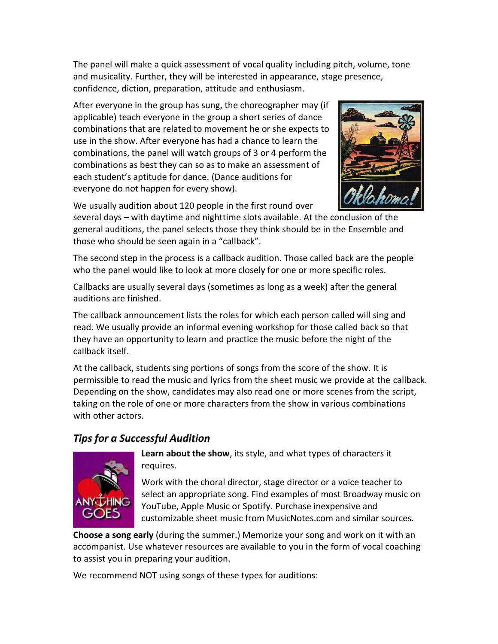The panel will make a quick assessment of vocal quality including pitch, volume, tone and musicality. Further, they will be interested in appearance, stage presence, confidence, diction, preparation, attitude and enthusiasm.

After everyone in the group has sung, the choreographer may (if applicable) teach everyone in the group a short series of dance combinations that are related to movement he or she expects to use in the show. After everyone has had a chance to learn the combinations, the panel will watch groups of 3 or 4 perform the combinations as best they can so as to make an assessment of each student's aptitude for dance. (Dance auditions for everyone do not happen for every show).



We usually audition about 120 people in the first round over

several days – with daytime and nighttime slots available. At the conclusion of the general auditions, the panel selects those they think should be in the Ensemble and those who should be seen again in a "callback".

The second step in the process is a callback audition. Those called back are the people who the panel would like to look at more closely for one or more specific roles.

Callbacks are usually several days (sometimes as long as a week) after the general auditions are finished.

The callback announcement lists the roles for which each person called will sing and read. We usually provide an informal evening workshop for those called back so that they have an opportunity to learn and practice the music before the night of the callback itself.

At the callback, students sing portions of songs from the score of the show. It is permissible to read the music and lyrics from the sheet music we provide at the callback. Depending on the show, candidates may also read one or more scenes from the script, taking on the role of one or more characters from the show in various combinations with other actors.

#### *Tips for a Successful Audition*



**Learn about the show**, its style, and what types of characters it requires.

Work with the choral director, stage director or a voice teacher to select an appropriate song. Find examples of most Broadway music on YouTube, Apple Music or Spotify. Purchase inexpensive and customizable sheet music from MusicNotes.com and similar sources.

**Choose a song early** (during the summer.) Memorize your song and work on it with an accompanist. Use whatever resources are available to you in the form of vocal coaching to assist you in preparing your audition.

We recommend NOT using songs of these types for auditions: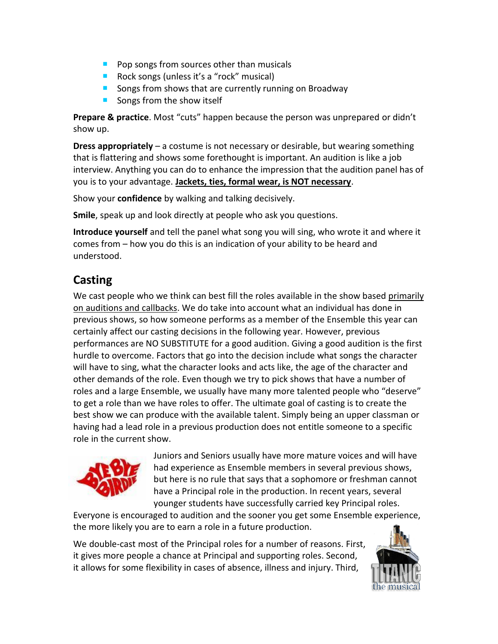- $\blacksquare$  Pop songs from sources other than musicals
- Rock songs (unless it's a "rock" musical)
- Songs from shows that are currently running on Broadway
- Songs from the show itself

**Prepare & practice**. Most "cuts" happen because the person was unprepared or didn't show up.

**Dress appropriately** – a costume is not necessary or desirable, but wearing something that is flattering and shows some forethought is important. An audition is like a job interview. Anything you can do to enhance the impression that the audition panel has of you is to your advantage. **Jackets, ties, formal wear, is NOT necessary**.

Show your **confidence** by walking and talking decisively.

**Smile**, speak up and look directly at people who ask you questions.

**Introduce yourself** and tell the panel what song you will sing, who wrote it and where it comes from – how you do this is an indication of your ability to be heard and understood.

## **Casting**

We cast people who we think can best fill the roles available in the show based primarily on auditions and callbacks. We do take into account what an individual has done in previous shows, so how someone performs as a member of the Ensemble this year can certainly affect our casting decisions in the following year. However, previous performances are NO SUBSTITUTE for a good audition. Giving a good audition is the first hurdle to overcome. Factors that go into the decision include what songs the character will have to sing, what the character looks and acts like, the age of the character and other demands of the role. Even though we try to pick shows that have a number of roles and a large Ensemble, we usually have many more talented people who "deserve" to get a role than we have roles to offer. The ultimate goal of casting is to create the best show we can produce with the available talent. Simply being an upper classman or having had a lead role in a previous production does not entitle someone to a specific role in the current show.



Juniors and Seniors usually have more mature voices and will have had experience as Ensemble members in several previous shows, but here is no rule that says that a sophomore or freshman cannot have a Principal role in the production. In recent years, several younger students have successfully carried key Principal roles.

Everyone is encouraged to audition and the sooner you get some Ensemble experience, the more likely you are to earn a role in a future production.

We double-cast most of the Principal roles for a number of reasons. First, it gives more people a chance at Principal and supporting roles. Second, it allows for some flexibility in cases of absence, illness and injury. Third,

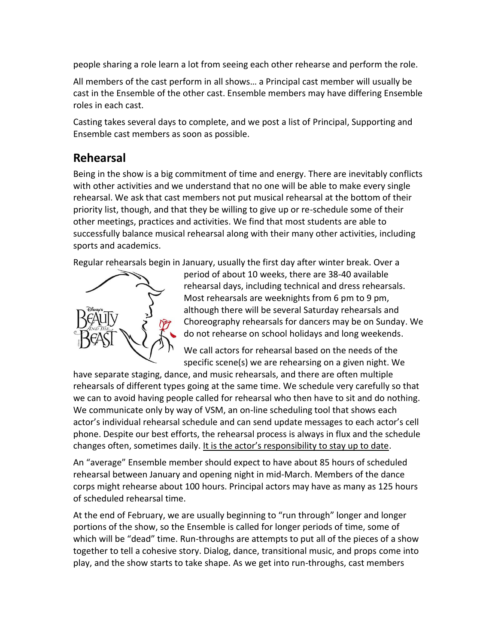people sharing a role learn a lot from seeing each other rehearse and perform the role.

All members of the cast perform in all shows... a Principal cast member will usually be cast in the Ensemble of the other cast. Ensemble members may have differing Ensemble roles in each cast.

Casting takes several days to complete, and we post a list of Principal, Supporting and Ensemble cast members as soon as possible.

## **Rehearsal**

Being in the show is a big commitment of time and energy. There are inevitably conflicts with other activities and we understand that no one will be able to make every single rehearsal. We ask that cast members not put musical rehearsal at the bottom of their priority list, though, and that they be willing to give up or re-schedule some of their other meetings, practices and activities. We find that most students are able to successfully balance musical rehearsal along with their many other activities, including sports and academics.

Regular rehearsals begin in January, usually the first day after winter break. Over a



period of about 10 weeks, there are 38-40 available rehearsal days, including technical and dress rehearsals. Most rehearsals are weeknights from 6 pm to 9 pm, although there will be several Saturday rehearsals and Choreography rehearsals for dancers may be on Sunday. We do not rehearse on school holidays and long weekends.

We call actors for rehearsal based on the needs of the specific scene(s) we are rehearsing on a given night. We

have separate staging, dance, and music rehearsals, and there are often multiple rehearsals of different types going at the same time. We schedule very carefully so that we can to avoid having people called for rehearsal who then have to sit and do nothing. We communicate only by way of VSM, an on-line scheduling tool that shows each actor's individual rehearsal schedule and can send update messages to each actor's cell phone. Despite our best efforts, the rehearsal process is always in flux and the schedule changes often, sometimes daily. It is the actor's responsibility to stay up to date.

An "average" Ensemble member should expect to have about 85 hours of scheduled rehearsal between January and opening night in mid-March. Members of the dance corps might rehearse about 100 hours. Principal actors may have as many as 125 hours of scheduled rehearsal time.

At the end of February, we are usually beginning to "run through" longer and longer portions of the show, so the Ensemble is called for longer periods of time, some of which will be "dead" time. Run-throughs are attempts to put all of the pieces of a show together to tell a cohesive story. Dialog, dance, transitional music, and props come into play, and the show starts to take shape. As we get into run-throughs, cast members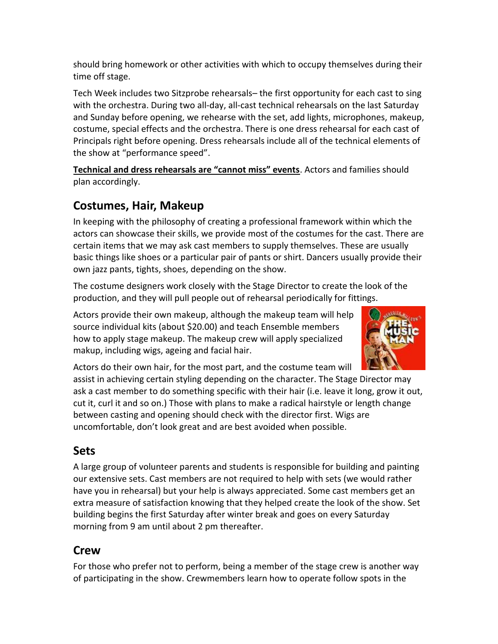should bring homework or other activities with which to occupy themselves during their time off stage.

Tech Week includes two Sitzprobe rehearsals-the first opportunity for each cast to sing with the orchestra. During two all-day, all-cast technical rehearsals on the last Saturday and Sunday before opening, we rehearse with the set, add lights, microphones, makeup, costume, special effects and the orchestra. There is one dress rehearsal for each cast of Principals right before opening. Dress rehearsals include all of the technical elements of the show at "performance speed".

**Technical and dress rehearsals are "cannot miss" events**. Actors and families should plan accordingly.

## **Costumes, Hair, Makeup**

In keeping with the philosophy of creating a professional framework within which the actors can showcase their skills, we provide most of the costumes for the cast. There are certain items that we may ask cast members to supply themselves. These are usually basic things like shoes or a particular pair of pants or shirt. Dancers usually provide their own jazz pants, tights, shoes, depending on the show.

The costume designers work closely with the Stage Director to create the look of the production, and they will pull people out of rehearsal periodically for fittings.

Actors provide their own makeup, although the makeup team will help source individual kits (about \$20.00) and teach Ensemble members how to apply stage makeup. The makeup crew will apply specialized makup, including wigs, ageing and facial hair.



Actors do their own hair, for the most part, and the costume team will

assist in achieving certain styling depending on the character. The Stage Director may ask a cast member to do something specific with their hair (i.e. leave it long, grow it out, cut it, curl it and so on.) Those with plans to make a radical hairstyle or length change between casting and opening should check with the director first. Wigs are uncomfortable, don't look great and are best avoided when possible.

## **Sets**

A large group of volunteer parents and students is responsible for building and painting our extensive sets. Cast members are not required to help with sets (we would rather have you in rehearsal) but your help is always appreciated. Some cast members get an extra measure of satisfaction knowing that they helped create the look of the show. Set building begins the first Saturday after winter break and goes on every Saturday morning from 9 am until about 2 pm thereafter.

## **Crew**

For those who prefer not to perform, being a member of the stage crew is another way of participating in the show. Crewmembers learn how to operate follow spots in the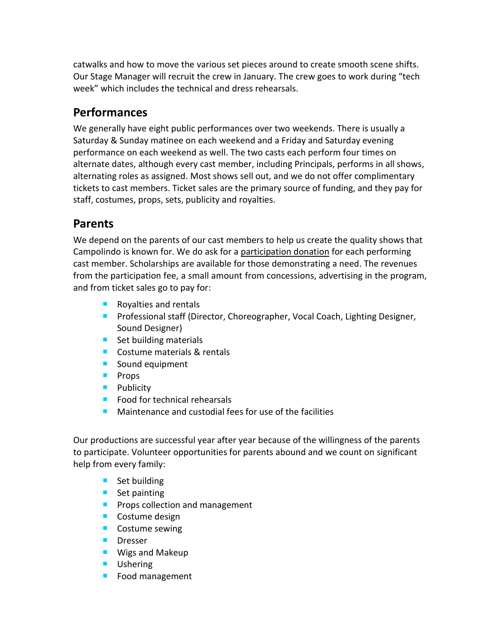catwalks and how to move the various set pieces around to create smooth scene shifts. Our Stage Manager will recruit the crew in January. The crew goes to work during "tech week<sup>"</sup> which includes the technical and dress rehearsals.

### **Performances**

We generally have eight public performances over two weekends. There is usually a Saturday & Sunday matinee on each weekend and a Friday and Saturday evening performance on each weekend as well. The two casts each perform four times on alternate dates, although every cast member, including Principals, performs in all shows, alternating roles as assigned. Most shows sell out, and we do not offer complimentary tickets to cast members. Ticket sales are the primary source of funding, and they pay for staff, costumes, props, sets, publicity and royalties.

### **Parents**

We depend on the parents of our cast members to help us create the quality shows that Campolindo is known for. We do ask for a participation donation for each performing cast member. Scholarships are available for those demonstrating a need. The revenues from the participation fee, a small amount from concessions, advertising in the program, and from ticket sales go to pay for:

- Royalties and rentals
- **Professional staff (Director, Choreographer, Vocal Coach, Lighting Designer,** Sound Designer)
- $\blacksquare$  Set building materials
- Costume materials & rentals
- Sound equipment
- **Props**
- **Publicity**
- $\blacksquare$  Food for technical rehearsals
- Maintenance and custodial fees for use of the facilities

Our productions are successful year after year because of the willingness of the parents to participate. Volunteer opportunities for parents abound and we count on significant help from every family:

- Set building
- Set painting
- **Props collection and management**
- **Costume design**
- **Costume sewing**
- **Dresser**
- **Wigs and Makeup**
- **Ushering**
- **Food management**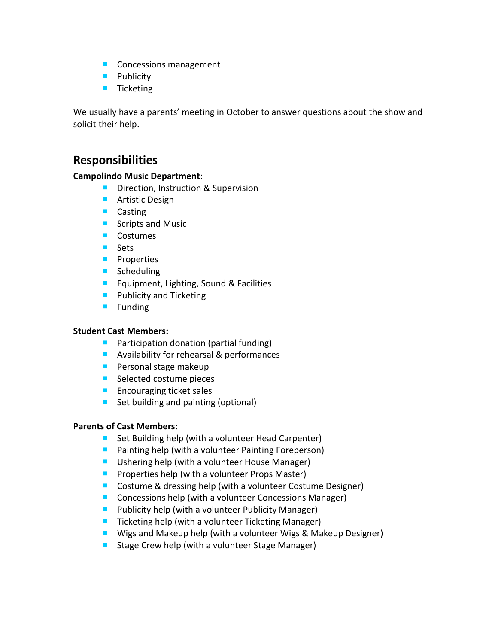- Concessions management
- **Publicity**
- **Ticketing**

We usually have a parents' meeting in October to answer questions about the show and solicit their help.

#### **Responsibilities**

#### **Campolindo Music Department**:

- **Direction, Instruction & Supervision**
- **Artistic Design**
- **Casting**
- Scripts and Music
- **Costumes**
- **Sets**
- **Properties**
- **Scheduling**
- **Equipment, Lighting, Sound & Facilities**
- **Publicity and Ticketing**
- $\blacksquare$  Funding

#### **Student Cast Members:**

- **Participation donation (partial funding)**
- **Availability for rehearsal & performances**
- **Personal stage makeup**
- Selected costume pieces
- $\blacksquare$  Encouraging ticket sales
- Set building and painting (optional)

#### **Parents of Cast Members:**

- Set Building help (with a volunteer Head Carpenter)
- **Painting help (with a volunteer Painting Foreperson)**
- Ushering help (with a volunteer House Manager)
- **Properties help (with a volunteer Props Master)**
- Costume & dressing help (with a volunteer Costume Designer)
- Concessions help (with a volunteer Concessions Manager)
- **Publicity help (with a volunteer Publicity Manager)**
- $\blacksquare$  Ticketing help (with a volunteer Ticketing Manager)
- Wigs and Makeup help (with a volunteer Wigs & Makeup Designer)
- **Stage Crew help (with a volunteer Stage Manager)**